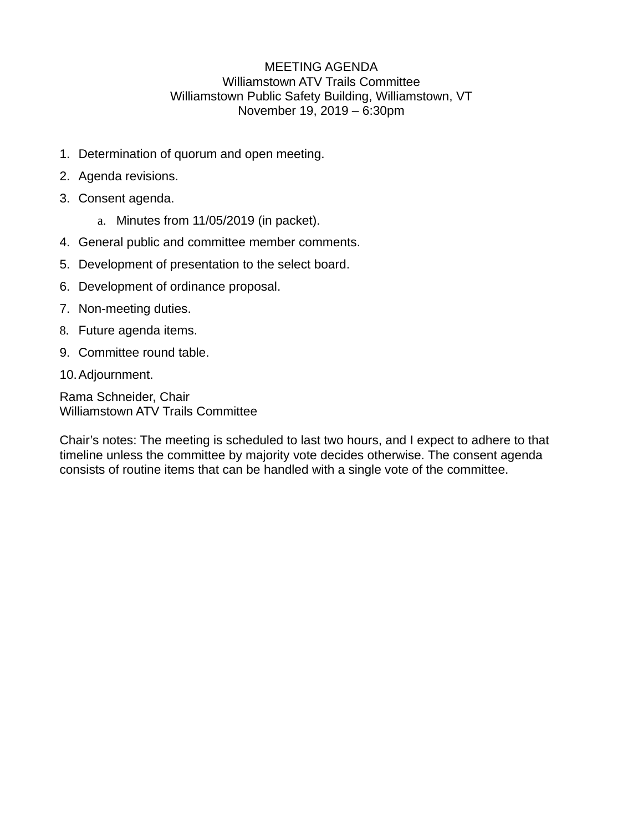## MEETING AGENDA Williamstown ATV Trails Committee Williamstown Public Safety Building, Williamstown, VT November 19, 2019 – 6:30pm

- 1. Determination of quorum and open meeting.
- 2. Agenda revisions.
- 3. Consent agenda.
	- a. Minutes from 11/05/2019 (in packet).
- 4. General public and committee member comments.
- 5. Development of presentation to the select board.
- 6. Development of ordinance proposal.
- 7. Non-meeting duties.
- 8. Future agenda items.
- 9. Committee round table.
- 10.Adjournment.

Rama Schneider, Chair Williamstown ATV Trails Committee

Chair's notes: The meeting is scheduled to last two hours, and I expect to adhere to that timeline unless the committee by majority vote decides otherwise. The consent agenda consists of routine items that can be handled with a single vote of the committee.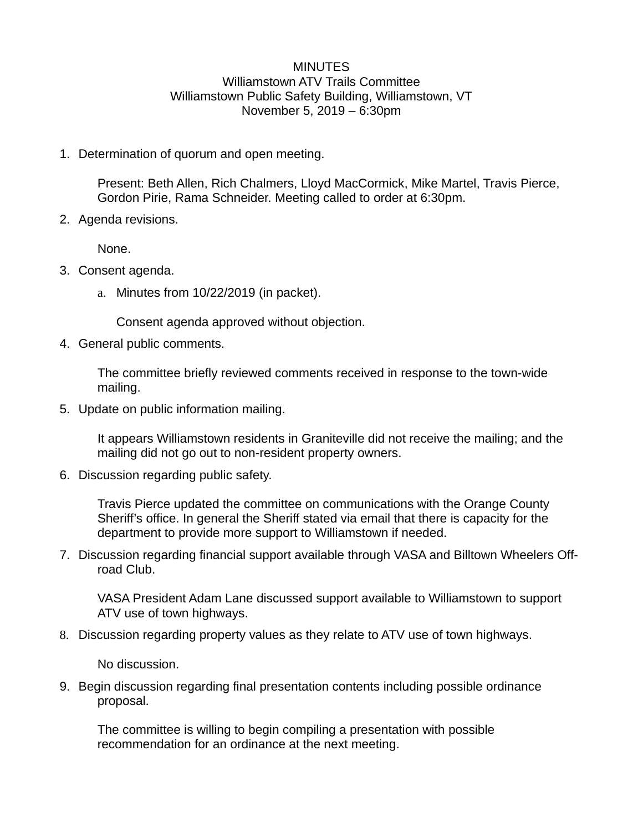## **MINUTES** Williamstown ATV Trails Committee Williamstown Public Safety Building, Williamstown, VT November 5, 2019 – 6:30pm

1. Determination of quorum and open meeting.

Present: Beth Allen, Rich Chalmers, Lloyd MacCormick, Mike Martel, Travis Pierce, Gordon Pirie, Rama Schneider. Meeting called to order at 6:30pm.

2. Agenda revisions.

None.

- 3. Consent agenda.
	- a. Minutes from 10/22/2019 (in packet).

Consent agenda approved without objection.

4. General public comments.

The committee briefly reviewed comments received in response to the town-wide mailing.

5. Update on public information mailing.

It appears Williamstown residents in Graniteville did not receive the mailing; and the mailing did not go out to non-resident property owners.

6. Discussion regarding public safety.

Travis Pierce updated the committee on communications with the Orange County Sheriff's office. In general the Sheriff stated via email that there is capacity for the department to provide more support to Williamstown if needed.

7. Discussion regarding financial support available through VASA and Billtown Wheelers Offroad Club.

VASA President Adam Lane discussed support available to Williamstown to support ATV use of town highways.

8. Discussion regarding property values as they relate to ATV use of town highways.

No discussion.

9. Begin discussion regarding final presentation contents including possible ordinance proposal.

The committee is willing to begin compiling a presentation with possible recommendation for an ordinance at the next meeting.